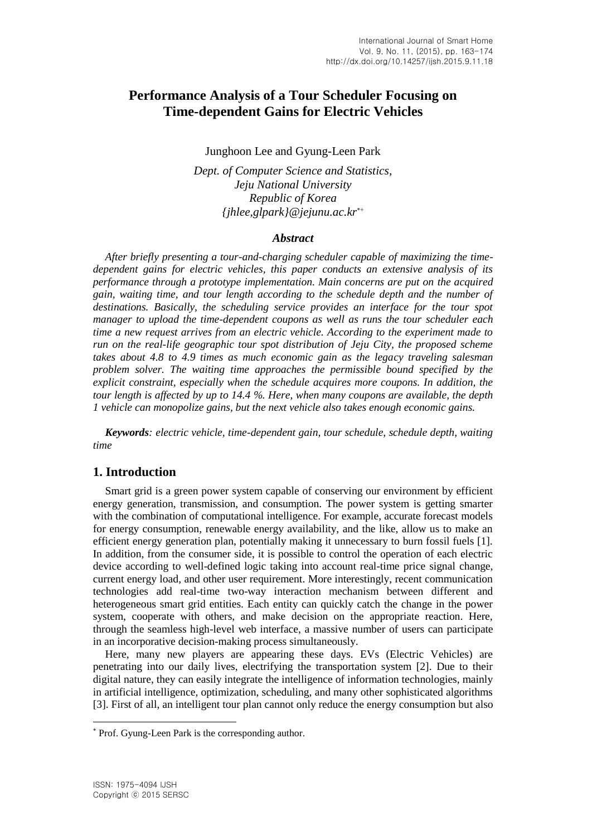# **Performance Analysis of a Tour Scheduler Focusing on Time-dependent Gains for Electric Vehicles**

Junghoon Lee and Gyung-Leen Park

*Dept. of Computer Science and Statistics, Jeju National University Republic of Korea {jhlee,glpark}@jejunu.ac.kr*

### *Abstract*

*After briefly presenting a tour-and-charging scheduler capable of maximizing the timedependent gains for electric vehicles, this paper conducts an extensive analysis of its performance through a prototype implementation. Main concerns are put on the acquired gain, waiting time, and tour length according to the schedule depth and the number of destinations. Basically, the scheduling service provides an interface for the tour spot manager to upload the time-dependent coupons as well as runs the tour scheduler each time a new request arrives from an electric vehicle. According to the experiment made to run on the real-life geographic tour spot distribution of Jeju City, the proposed scheme takes about 4.8 to 4.9 times as much economic gain as the legacy traveling salesman problem solver. The waiting time approaches the permissible bound specified by the explicit constraint, especially when the schedule acquires more coupons. In addition, the tour length is affected by up to 14.4 %. Here, when many coupons are available, the depth 1 vehicle can monopolize gains, but the next vehicle also takes enough economic gains.*

*Keywords: electric vehicle, time-dependent gain, tour schedule, schedule depth, waiting time*

# **1. Introduction**

Smart grid is a green power system capable of conserving our environment by efficient energy generation, transmission, and consumption. The power system is getting smarter with the combination of computational intelligence. For example, accurate forecast models for energy consumption, renewable energy availability, and the like, allow us to make an efficient energy generation plan, potentially making it unnecessary to burn fossil fuels [1]. In addition, from the consumer side, it is possible to control the operation of each electric device according to well-defined logic taking into account real-time price signal change, current energy load, and other user requirement. More interestingly, recent communication technologies add real-time two-way interaction mechanism between different and heterogeneous smart grid entities. Each entity can quickly catch the change in the power system, cooperate with others, and make decision on the appropriate reaction. Here, through the seamless high-level web interface, a massive number of users can participate in an incorporative decision-making process simultaneously.

Here, many new players are appearing these days. EVs (Electric Vehicles) are penetrating into our daily lives, electrifying the transportation system [2]. Due to their digital nature, they can easily integrate the intelligence of information technologies, mainly in artificial intelligence, optimization, scheduling, and many other sophisticated algorithms [3]. First of all, an intelligent tour plan cannot only reduce the energy consumption but also

l

Prof. Gyung-Leen Park is the corresponding author.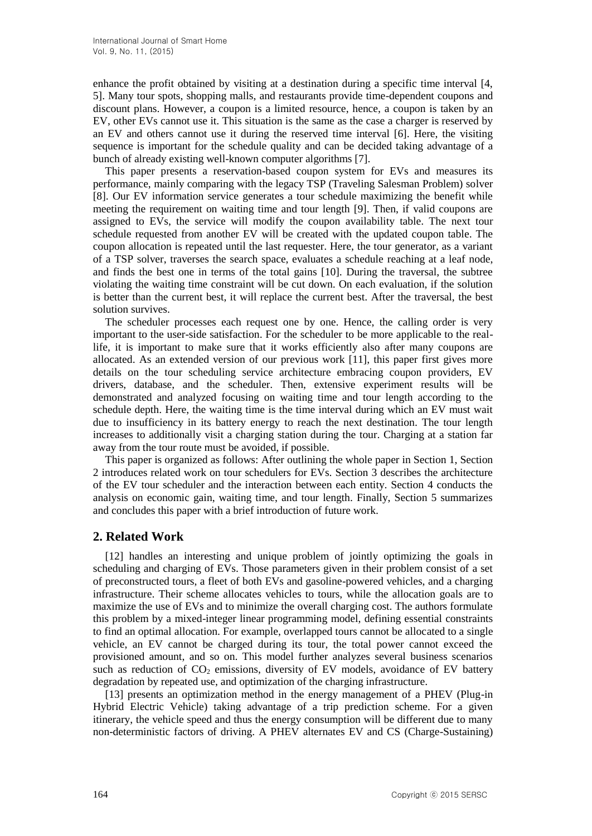enhance the profit obtained by visiting at a destination during a specific time interval [4, 5]. Many tour spots, shopping malls, and restaurants provide time-dependent coupons and discount plans. However, a coupon is a limited resource, hence, a coupon is taken by an EV, other EVs cannot use it. This situation is the same as the case a charger is reserved by an EV and others cannot use it during the reserved time interval [6]. Here, the visiting sequence is important for the schedule quality and can be decided taking advantage of a bunch of already existing well-known computer algorithms [7].

This paper presents a reservation-based coupon system for EVs and measures its performance, mainly comparing with the legacy TSP (Traveling Salesman Problem) solver [8]. Our EV information service generates a tour schedule maximizing the benefit while meeting the requirement on waiting time and tour length [9]. Then, if valid coupons are assigned to EVs, the service will modify the coupon availability table. The next tour schedule requested from another EV will be created with the updated coupon table. The coupon allocation is repeated until the last requester. Here, the tour generator, as a variant of a TSP solver, traverses the search space, evaluates a schedule reaching at a leaf node, and finds the best one in terms of the total gains [10]. During the traversal, the subtree violating the waiting time constraint will be cut down. On each evaluation, if the solution is better than the current best, it will replace the current best. After the traversal, the best solution survives.

The scheduler processes each request one by one. Hence, the calling order is very important to the user-side satisfaction. For the scheduler to be more applicable to the reallife, it is important to make sure that it works efficiently also after many coupons are allocated. As an extended version of our previous work [11], this paper first gives more details on the tour scheduling service architecture embracing coupon providers, EV drivers, database, and the scheduler. Then, extensive experiment results will be demonstrated and analyzed focusing on waiting time and tour length according to the schedule depth. Here, the waiting time is the time interval during which an EV must wait due to insufficiency in its battery energy to reach the next destination. The tour length increases to additionally visit a charging station during the tour. Charging at a station far away from the tour route must be avoided, if possible.

This paper is organized as follows: After outlining the whole paper in Section 1, Section 2 introduces related work on tour schedulers for EVs. Section 3 describes the architecture of the EV tour scheduler and the interaction between each entity. Section 4 conducts the analysis on economic gain, waiting time, and tour length. Finally, Section 5 summarizes and concludes this paper with a brief introduction of future work.

# **2. Related Work**

[12] handles an interesting and unique problem of jointly optimizing the goals in scheduling and charging of EVs. Those parameters given in their problem consist of a set of preconstructed tours, a fleet of both EVs and gasoline-powered vehicles, and a charging infrastructure. Their scheme allocates vehicles to tours, while the allocation goals are to maximize the use of EVs and to minimize the overall charging cost. The authors formulate this problem by a mixed-integer linear programming model, defining essential constraints to find an optimal allocation. For example, overlapped tours cannot be allocated to a single vehicle, an EV cannot be charged during its tour, the total power cannot exceed the provisioned amount, and so on. This model further analyzes several business scenarios such as reduction of  $CO_2$  emissions, diversity of EV models, avoidance of EV battery degradation by repeated use, and optimization of the charging infrastructure.

[13] presents an optimization method in the energy management of a PHEV (Plug-in Hybrid Electric Vehicle) taking advantage of a trip prediction scheme. For a given itinerary, the vehicle speed and thus the energy consumption will be different due to many non-deterministic factors of driving. A PHEV alternates EV and CS (Charge-Sustaining)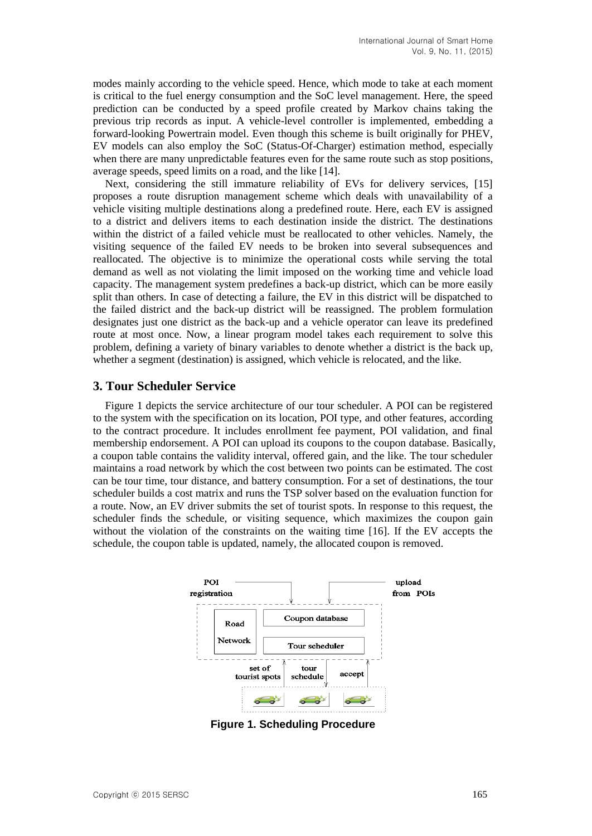modes mainly according to the vehicle speed. Hence, which mode to take at each moment is critical to the fuel energy consumption and the SoC level management. Here, the speed prediction can be conducted by a speed profile created by Markov chains taking the previous trip records as input. A vehicle-level controller is implemented, embedding a forward-looking Powertrain model. Even though this scheme is built originally for PHEV, EV models can also employ the SoC (Status-Of-Charger) estimation method, especially when there are many unpredictable features even for the same route such as stop positions, average speeds, speed limits on a road, and the like [14].

Next, considering the still immature reliability of EVs for delivery services, [15] proposes a route disruption management scheme which deals with unavailability of a vehicle visiting multiple destinations along a predefined route. Here, each EV is assigned to a district and delivers items to each destination inside the district. The destinations within the district of a failed vehicle must be reallocated to other vehicles. Namely, the visiting sequence of the failed EV needs to be broken into several subsequences and reallocated. The objective is to minimize the operational costs while serving the total demand as well as not violating the limit imposed on the working time and vehicle load capacity. The management system predefines a back-up district, which can be more easily split than others. In case of detecting a failure, the EV in this district will be dispatched to the failed district and the back-up district will be reassigned. The problem formulation designates just one district as the back-up and a vehicle operator can leave its predefined route at most once. Now, a linear program model takes each requirement to solve this problem, defining a variety of binary variables to denote whether a district is the back up, whether a segment (destination) is assigned, which vehicle is relocated, and the like.

## **3. Tour Scheduler Service**

Figure 1 depicts the service architecture of our tour scheduler. A POI can be registered to the system with the specification on its location, POI type, and other features, according to the contract procedure. It includes enrollment fee payment, POI validation, and final membership endorsement. A POI can upload its coupons to the coupon database. Basically, a coupon table contains the validity interval, offered gain, and the like. The tour scheduler maintains a road network by which the cost between two points can be estimated. The cost can be tour time, tour distance, and battery consumption. For a set of destinations, the tour scheduler builds a cost matrix and runs the TSP solver based on the evaluation function for a route. Now, an EV driver submits the set of tourist spots. In response to this request, the scheduler finds the schedule, or visiting sequence, which maximizes the coupon gain without the violation of the constraints on the waiting time [16]. If the EV accepts the schedule, the coupon table is updated, namely, the allocated coupon is removed.



**Figure 1. Scheduling Procedure**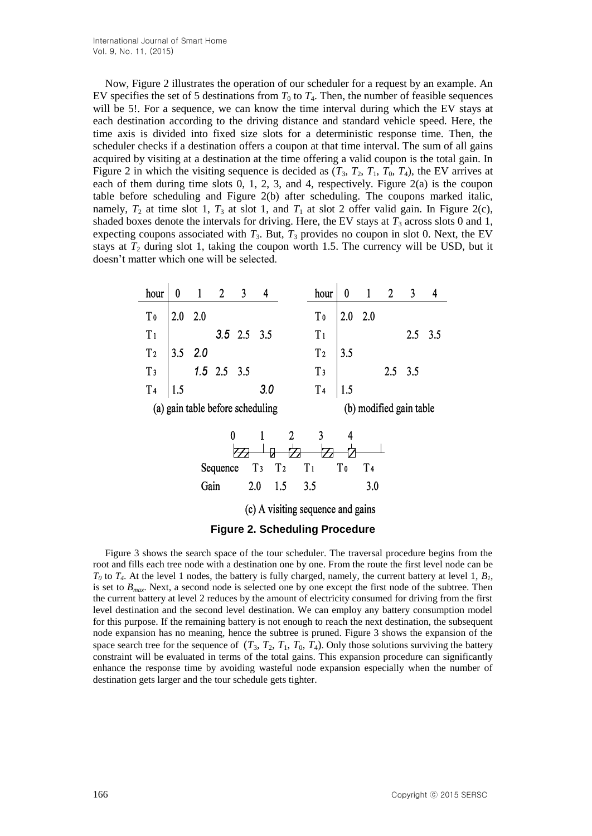Now, Figure 2 illustrates the operation of our scheduler for a request by an example. An EV specifies the set of 5 destinations from  $T_0$  to  $T_4$ . Then, the number of feasible sequences will be 5!. For a sequence, we can know the time interval during which the EV stays at each destination according to the driving distance and standard vehicle speed. Here, the time axis is divided into fixed size slots for a deterministic response time. Then, the scheduler checks if a destination offers a coupon at that time interval. The sum of all gains acquired by visiting at a destination at the time offering a valid coupon is the total gain. In Figure 2 in which the visiting sequence is decided as  $(T_3, T_2, T_1, T_0, T_4)$ , the EV arrives at each of them during time slots 0, 1, 2, 3, and 4, respectively. Figure 2(a) is the coupon table before scheduling and Figure 2(b) after scheduling. The coupons marked italic, namely,  $T_2$  at time slot 1,  $T_3$  at slot 1, and  $T_1$  at slot 2 offer valid gain. In Figure 2(c), shaded boxes denote the intervals for driving. Here, the EV stays at  $T_3$  across slots 0 and 1, expecting coupons associated with  $T_3$ . But,  $T_3$  provides no coupon in slot 0. Next, the EV stays at  $T_2$  during slot 1, taking the coupon worth 1.5. The currency will be USD, but it doesn't matter which one will be selected.

| hour                                                        | $\bf{0}$                                                       | $\mathbf{1}$   | 2 <sup>1</sup>    | 3 <sup>1</sup>    | 4   |     | hour           | 0              | $\mathbf{1}$   | $\overline{2}$ | $\mathbf{3}$   | $\overline{\mathbf{r}}$ |
|-------------------------------------------------------------|----------------------------------------------------------------|----------------|-------------------|-------------------|-----|-----|----------------|----------------|----------------|----------------|----------------|-------------------------|
| Tο                                                          |                                                                | $2.0\quad 2.0$ |                   |                   |     |     | T <sub>0</sub> |                | $2.0$ $2.0$    |                |                |                         |
| T <sub>1</sub>                                              |                                                                |                |                   | $3.5$ $2.5$ $3.5$ |     |     | T <sub>1</sub> |                |                |                | 2.5            | 3.5                     |
| T <sub>2</sub>                                              |                                                                | $3.5$ $2.0$    |                   |                   |     |     | T <sub>2</sub> | 3.5            |                |                |                |                         |
| T <sub>3</sub>                                              |                                                                |                | $1.5$ $2.5$ $3.5$ |                   |     |     | T <sub>3</sub> |                |                |                | $2.5\quad 3.5$ |                         |
| T <sub>4</sub>                                              | 1.5                                                            |                |                   |                   | 3.0 |     | T <sub>4</sub> | 1.5            |                |                |                |                         |
| (a) gain table before scheduling<br>(b) modified gain table |                                                                |                |                   |                   |     |     |                |                |                |                |                |                         |
| 0<br>$\overline{2}$<br>3<br>4                               |                                                                |                |                   |                   |     |     |                |                |                |                |                |                         |
|                                                             | T <sub>1</sub><br>T <sub>3</sub><br>T <sub>2</sub><br>Sequence |                |                   |                   |     |     |                | T <sub>0</sub> | T <sub>4</sub> |                |                |                         |
|                                                             |                                                                |                | Gain              |                   | 2.0 | 1.5 | 3.5            |                | 3.0            |                |                |                         |
| (c) A visiting sequence and gains                           |                                                                |                |                   |                   |     |     |                |                |                |                |                |                         |
| <b>Figure 2. Scheduling Procedure</b>                       |                                                                |                |                   |                   |     |     |                |                |                |                |                |                         |

Figure 3 shows the search space of the tour scheduler. The traversal procedure begins from the root and fills each tree node with a destination one by one. From the route the first level node can be  $T_0$  to  $T_4$ . At the level 1 nodes, the battery is fully charged, namely, the current battery at level 1,  $B_1$ , is set to *Bmax*. Next, a second node is selected one by one except the first node of the subtree. Then the current battery at level 2 reduces by the amount of electricity consumed for driving from the first level destination and the second level destination. We can employ any battery consumption model for this purpose. If the remaining battery is not enough to reach the next destination, the subsequent node expansion has no meaning, hence the subtree is pruned. Figure 3 shows the expansion of the space search tree for the sequence of  $(T_3, T_2, T_1, T_0, T_4)$ . Only those solutions surviving the battery constraint will be evaluated in terms of the total gains. This expansion procedure can significantly enhance the response time by avoiding wasteful node expansion especially when the number of destination gets larger and the tour schedule gets tighter.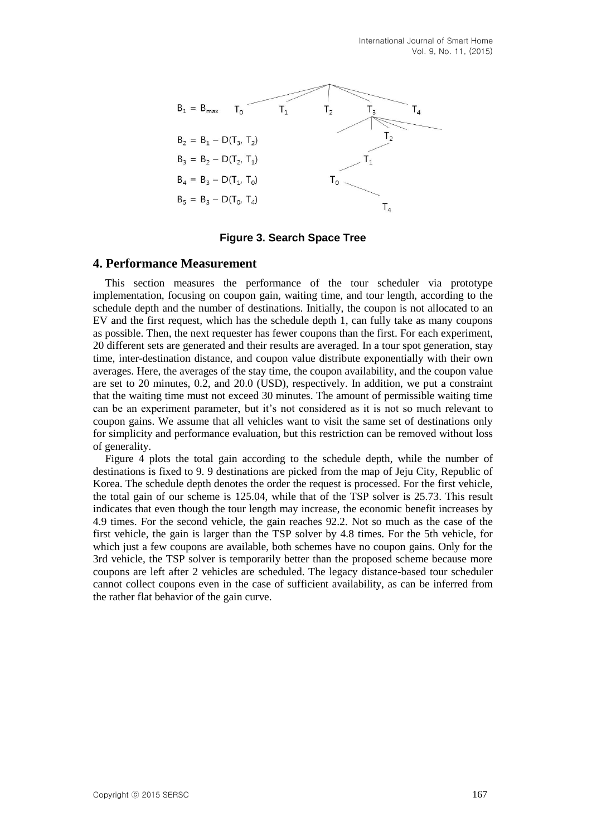

**Figure 3. Search Space Tree**

### **4. Performance Measurement**

This section measures the performance of the tour scheduler via prototype implementation, focusing on coupon gain, waiting time, and tour length, according to the schedule depth and the number of destinations. Initially, the coupon is not allocated to an EV and the first request, which has the schedule depth 1, can fully take as many coupons as possible. Then, the next requester has fewer coupons than the first. For each experiment, 20 different sets are generated and their results are averaged. In a tour spot generation, stay time, inter-destination distance, and coupon value distribute exponentially with their own averages. Here, the averages of the stay time, the coupon availability, and the coupon value are set to 20 minutes, 0.2, and 20.0 (USD), respectively. In addition, we put a constraint that the waiting time must not exceed 30 minutes. The amount of permissible waiting time can be an experiment parameter, but it's not considered as it is not so much relevant to coupon gains. We assume that all vehicles want to visit the same set of destinations only for simplicity and performance evaluation, but this restriction can be removed without loss of generality.

Figure 4 plots the total gain according to the schedule depth, while the number of destinations is fixed to 9. 9 destinations are picked from the map of Jeju City, Republic of Korea. The schedule depth denotes the order the request is processed. For the first vehicle, the total gain of our scheme is 125.04, while that of the TSP solver is 25.73. This result indicates that even though the tour length may increase, the economic benefit increases by 4.9 times. For the second vehicle, the gain reaches 92.2. Not so much as the case of the first vehicle, the gain is larger than the TSP solver by 4.8 times. For the 5th vehicle, for which just a few coupons are available, both schemes have no coupon gains. Only for the 3rd vehicle, the TSP solver is temporarily better than the proposed scheme because more coupons are left after 2 vehicles are scheduled. The legacy distance-based tour scheduler cannot collect coupons even in the case of sufficient availability, as can be inferred from the rather flat behavior of the gain curve.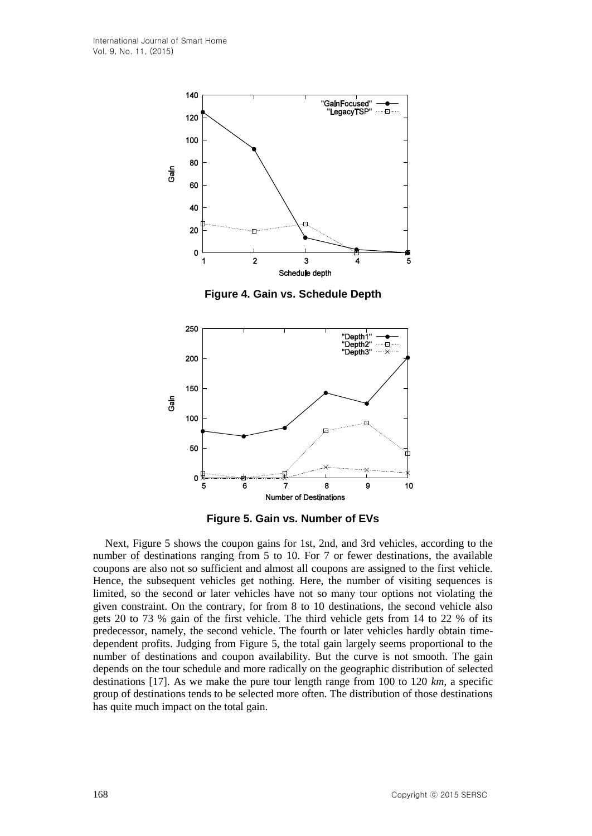

**Figure 4. Gain vs. Schedule Depth**



**Figure 5. Gain vs. Number of EVs**

Next, Figure 5 shows the coupon gains for 1st, 2nd, and 3rd vehicles, according to the number of destinations ranging from 5 to 10. For 7 or fewer destinations, the available coupons are also not so sufficient and almost all coupons are assigned to the first vehicle. Hence, the subsequent vehicles get nothing. Here, the number of visiting sequences is limited, so the second or later vehicles have not so many tour options not violating the given constraint. On the contrary, for from 8 to 10 destinations, the second vehicle also gets 20 to 73 % gain of the first vehicle. The third vehicle gets from 14 to 22 % of its predecessor, namely, the second vehicle. The fourth or later vehicles hardly obtain timedependent profits. Judging from Figure 5, the total gain largely seems proportional to the number of destinations and coupon availability. But the curve is not smooth. The gain depends on the tour schedule and more radically on the geographic distribution of selected destinations [17]. As we make the pure tour length range from 100 to 120 *km*, a specific group of destinations tends to be selected more often. The distribution of those destinations has quite much impact on the total gain.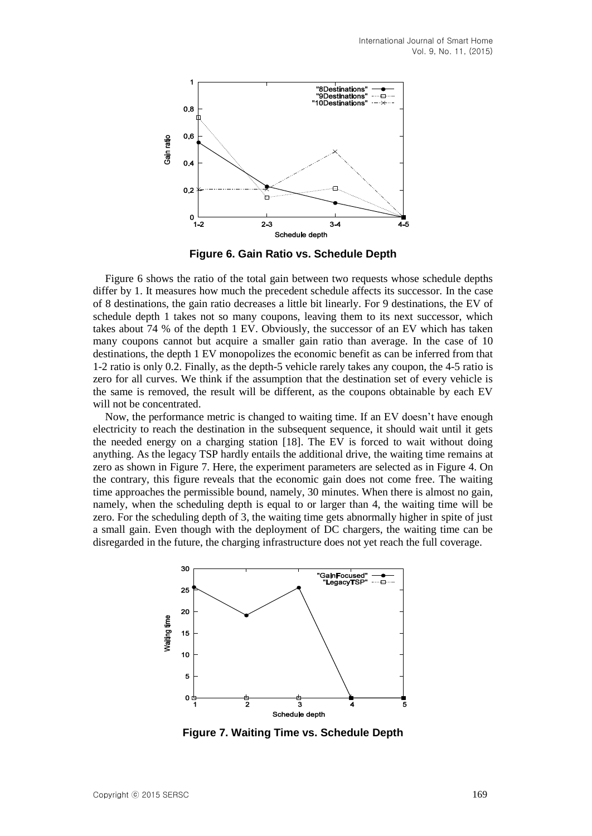

**Figure 6. Gain Ratio vs. Schedule Depth**

Figure 6 shows the ratio of the total gain between two requests whose schedule depths differ by 1. It measures how much the precedent schedule affects its successor. In the case of 8 destinations, the gain ratio decreases a little bit linearly. For 9 destinations, the EV of schedule depth 1 takes not so many coupons, leaving them to its next successor, which takes about 74 % of the depth 1 EV. Obviously, the successor of an EV which has taken many coupons cannot but acquire a smaller gain ratio than average. In the case of 10 destinations, the depth 1 EV monopolizes the economic benefit as can be inferred from that 1-2 ratio is only 0.2. Finally, as the depth-5 vehicle rarely takes any coupon, the 4-5 ratio is zero for all curves. We think if the assumption that the destination set of every vehicle is the same is removed, the result will be different, as the coupons obtainable by each EV will not be concentrated.

Now, the performance metric is changed to waiting time. If an EV doesn't have enough electricity to reach the destination in the subsequent sequence, it should wait until it gets the needed energy on a charging station [18]. The EV is forced to wait without doing anything. As the legacy TSP hardly entails the additional drive, the waiting time remains at zero as shown in Figure 7. Here, the experiment parameters are selected as in Figure 4. On the contrary, this figure reveals that the economic gain does not come free. The waiting time approaches the permissible bound, namely, 30 minutes. When there is almost no gain, namely, when the scheduling depth is equal to or larger than 4, the waiting time will be zero. For the scheduling depth of 3, the waiting time gets abnormally higher in spite of just a small gain. Even though with the deployment of DC chargers, the waiting time can be disregarded in the future, the charging infrastructure does not yet reach the full coverage.



**Figure 7. Waiting Time vs. Schedule Depth**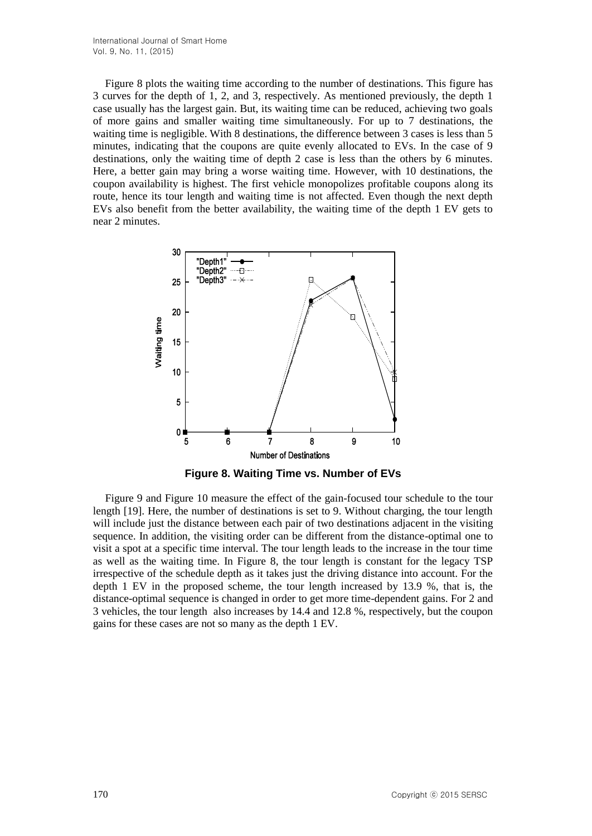Figure 8 plots the waiting time according to the number of destinations. This figure has 3 curves for the depth of 1, 2, and 3, respectively. As mentioned previously, the depth 1 case usually has the largest gain. But, its waiting time can be reduced, achieving two goals of more gains and smaller waiting time simultaneously. For up to 7 destinations, the waiting time is negligible. With 8 destinations, the difference between 3 cases is less than 5 minutes, indicating that the coupons are quite evenly allocated to EVs. In the case of 9 destinations, only the waiting time of depth 2 case is less than the others by 6 minutes. Here, a better gain may bring a worse waiting time. However, with 10 destinations, the coupon availability is highest. The first vehicle monopolizes profitable coupons along its route, hence its tour length and waiting time is not affected. Even though the next depth EVs also benefit from the better availability, the waiting time of the depth 1 EV gets to near 2 minutes.



**Figure 8. Waiting Time vs. Number of EVs**

Figure 9 and Figure 10 measure the effect of the gain-focused tour schedule to the tour length [19]. Here, the number of destinations is set to 9. Without charging, the tour length will include just the distance between each pair of two destinations adjacent in the visiting sequence. In addition, the visiting order can be different from the distance-optimal one to visit a spot at a specific time interval. The tour length leads to the increase in the tour time as well as the waiting time. In Figure 8, the tour length is constant for the legacy TSP irrespective of the schedule depth as it takes just the driving distance into account. For the depth 1 EV in the proposed scheme, the tour length increased by 13.9 %, that is, the distance-optimal sequence is changed in order to get more time-dependent gains. For 2 and 3 vehicles, the tour length also increases by 14.4 and 12.8 %, respectively, but the coupon gains for these cases are not so many as the depth 1 EV.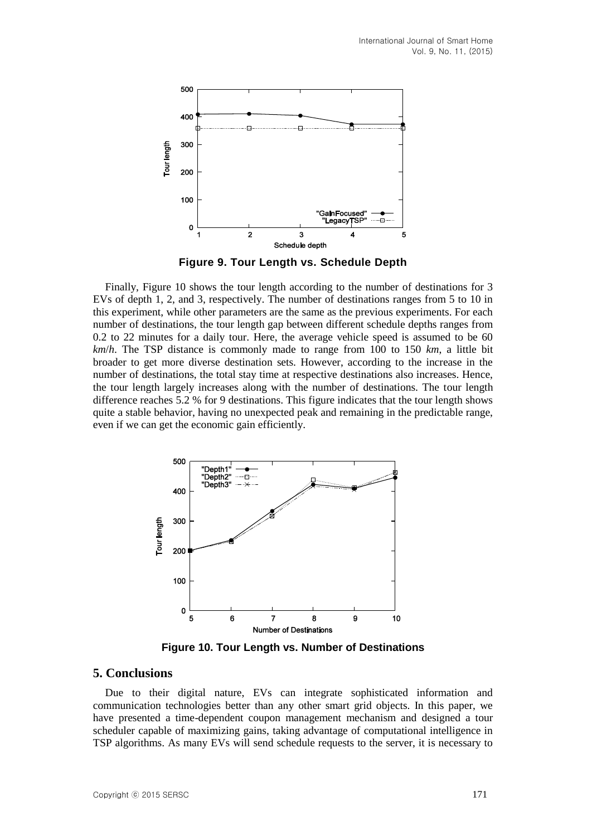

**Figure 9. Tour Length vs. Schedule Depth**

Finally, Figure 10 shows the tour length according to the number of destinations for 3 EVs of depth 1, 2, and 3, respectively. The number of destinations ranges from 5 to 10 in this experiment, while other parameters are the same as the previous experiments. For each number of destinations, the tour length gap between different schedule depths ranges from 0.2 to 22 minutes for a daily tour. Here, the average vehicle speed is assumed to be 60 *km*/*h*. The TSP distance is commonly made to range from 100 to 150 *km*, a little bit broader to get more diverse destination sets. However, according to the increase in the number of destinations, the total stay time at respective destinations also increases. Hence, the tour length largely increases along with the number of destinations. The tour length difference reaches 5.2 % for 9 destinations. This figure indicates that the tour length shows quite a stable behavior, having no unexpected peak and remaining in the predictable range, even if we can get the economic gain efficiently.



**Figure 10. Tour Length vs. Number of Destinations**

## **5. Conclusions**

Due to their digital nature, EVs can integrate sophisticated information and communication technologies better than any other smart grid objects. In this paper, we have presented a time-dependent coupon management mechanism and designed a tour scheduler capable of maximizing gains, taking advantage of computational intelligence in TSP algorithms. As many EVs will send schedule requests to the server, it is necessary to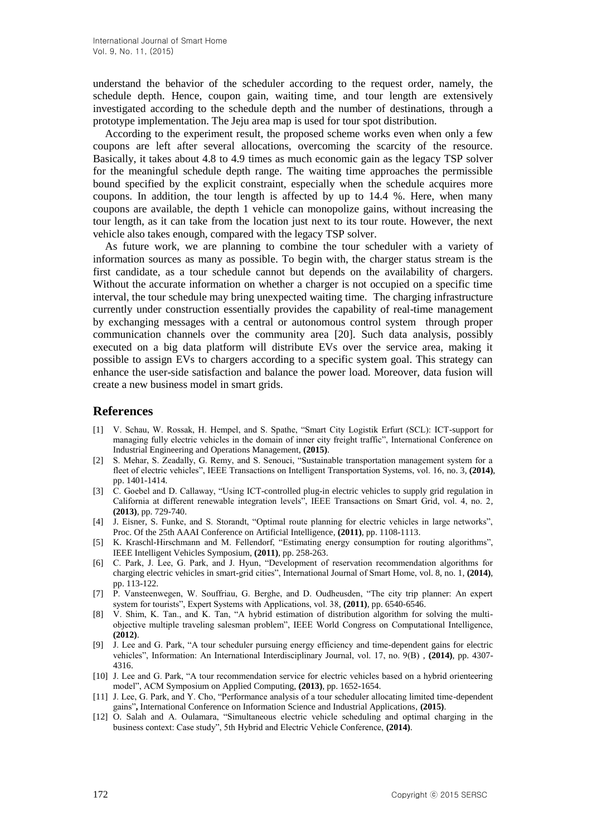understand the behavior of the scheduler according to the request order, namely, the schedule depth. Hence, coupon gain, waiting time, and tour length are extensively investigated according to the schedule depth and the number of destinations, through a prototype implementation. The Jeju area map is used for tour spot distribution.

According to the experiment result, the proposed scheme works even when only a few coupons are left after several allocations, overcoming the scarcity of the resource. Basically, it takes about 4.8 to 4.9 times as much economic gain as the legacy TSP solver for the meaningful schedule depth range. The waiting time approaches the permissible bound specified by the explicit constraint, especially when the schedule acquires more coupons. In addition, the tour length is affected by up to 14.4 %. Here, when many coupons are available, the depth 1 vehicle can monopolize gains, without increasing the tour length, as it can take from the location just next to its tour route. However, the next vehicle also takes enough, compared with the legacy TSP solver.

As future work, we are planning to combine the tour scheduler with a variety of information sources as many as possible. To begin with, the charger status stream is the first candidate, as a tour schedule cannot but depends on the availability of chargers. Without the accurate information on whether a charger is not occupied on a specific time interval, the tour schedule may bring unexpected waiting time. The charging infrastructure currently under construction essentially provides the capability of real-time management by exchanging messages with a central or autonomous control system through proper communication channels over the community area [20]. Such data analysis, possibly executed on a big data platform will distribute EVs over the service area, making it possible to assign EVs to chargers according to a specific system goal. This strategy can enhance the user-side satisfaction and balance the power load. Moreover, data fusion will create a new business model in smart grids.

### **References**

- [1] V. Schau, W. Rossak, H. Hempel, and S. Spathe, "Smart City Logistik Erfurt (SCL): ICT-support for managing fully electric vehicles in the domain of inner city freight traffic", International Conference on Industrial Engineering and Operations Management, **(2015)**.
- [2] S. Mehar, S. Zeadally, G. Remy, and S. Senouci, "Sustainable transportation management system for a fleet of electric vehicles", IEEE Transactions on Intelligent Transportation Systems, vol. 16, no. 3, **(2014)**, pp. 1401-1414.
- [3] C. Goebel and D. Callaway, "Using ICT-controlled plug-in electric vehicles to supply grid regulation in California at different renewable integration levels", IEEE Transactions on Smart Grid, vol. 4, no. 2, **(2013)**, pp. 729-740.
- [4] J. Eisner, S. Funke, and S. Storandt, "Optimal route planning for electric vehicles in large networks", Proc. Of the 25th AAAI Conference on Artificial Intelligence, **(2011)**, pp. 1108-1113.
- [5] K. Kraschl-Hirschmann and M. Fellendorf, "Estimating energy consumption for routing algorithms", IEEE Intelligent Vehicles Symposium, **(2011)**, pp. 258-263.
- [6] C. Park, J. Lee, G. Park, and J. Hyun, "Development of reservation recommendation algorithms for charging electric vehicles in smart-grid cities", International Journal of Smart Home, vol. 8, no. 1, **(2014)**, pp. 113-122.
- [7] P. Vansteenwegen, W. Souffriau, G. Berghe, and D. Oudheusden, "The city trip planner: An expert system for tourists", Expert Systems with Applications, vol. 38, **(2011)**, pp. 6540-6546.
- [8] V. Shim, K. Tan., and K. Tan, "A hybrid estimation of distribution algorithm for solving the multiobjective multiple traveling salesman problem", IEEE World Congress on Computational Intelligence, **(2012)**.
- [9] J. Lee and G. Park, "A tour scheduler pursuing energy efficiency and time-dependent gains for electric vehicles", Information: An International Interdisciplinary Journal, vol. 17, no. 9(B) , **(2014)**, pp. 4307- 4316.
- [10] J. Lee and G. Park, "A tour recommendation service for electric vehicles based on a hybrid orienteering model", ACM Symposium on Applied Computing, **(2013)**, pp. 1652-1654.
- [11] J. Lee, G. Park, and Y. Cho, "Performance analysis of a tour scheduler allocating limited time-dependent gains"**,** International Conference on Information Science and Industrial Applications, **(2015)**.
- [12] O. Salah and A. Oulamara, "Simultaneous electric vehicle scheduling and optimal charging in the business context: Case study", 5th Hybrid and Electric Vehicle Conference, **(2014)**.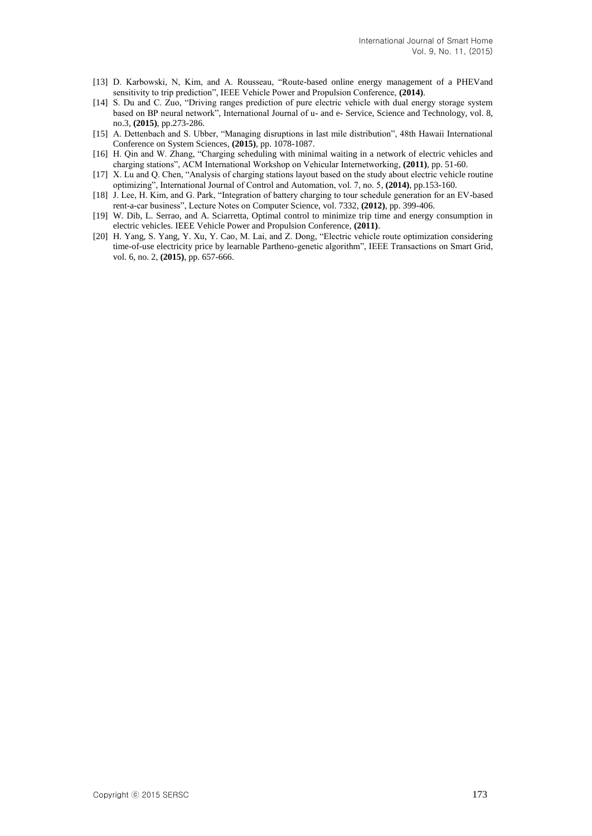- [13] D. Karbowski, N, Kim, and A. Rousseau, "Route-based online energy management of a PHEVand sensitivity to trip prediction", IEEE Vehicle Power and Propulsion Conference, **(2014)**.
- [14] S. Du and C. Zuo, "Driving ranges prediction of pure electric vehicle with dual energy storage system based on BP neural network", International Journal of u- and e- Service, Science and Technology, vol. 8, no.3, **(2015)**, pp.273-286.
- [15] A. Dettenbach and S. Ubber, "Managing disruptions in last mile distribution", 48th Hawaii International Conference on System Sciences, **(2015)**, pp. 1078-1087.
- [16] H. Qin and W. Zhang, "Charging scheduling with minimal waiting in a network of electric vehicles and charging stations", ACM International Workshop on Vehicular Internetworking, **(2011)**, pp. 51-60.
- [17] X. Lu and Q. Chen, "Analysis of charging stations layout based on the study about electric vehicle routine optimizing", International Journal of Control and Automation, vol. 7, no. 5, **(2014)**, pp.153-160.
- [18] J. Lee, H. Kim, and G. Park, "Integration of battery charging to tour schedule generation for an EV-based rent-a-car business", Lecture Notes on Computer Science, vol. 7332, **(2012)**, pp. 399-406.
- [19] W. Dib, L. Serrao, and A. Sciarretta, Optimal control to minimize trip time and energy consumption in electric vehicles. IEEE Vehicle Power and Propulsion Conference, **(2011)**.
- [20] H. Yang, S. Yang, Y. Xu, Y. Cao, M. Lai, and Z. Dong, "Electric vehicle route optimization considering time-of-use electricity price by learnable Partheno-genetic algorithm", IEEE Transactions on Smart Grid, vol. 6, no. 2, **(2015)**, pp. 657-666.